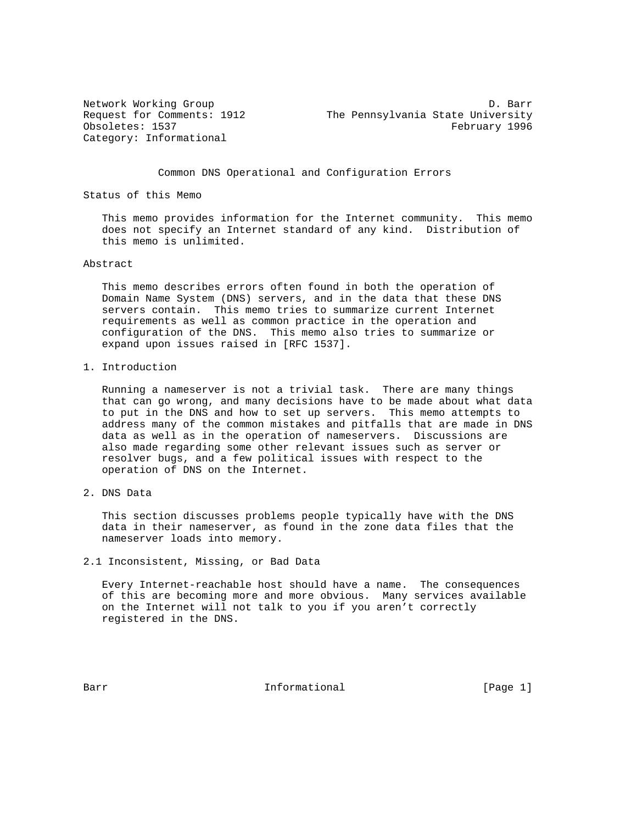Category: Informational

Network Working Group Decree Controllery and D. Barr D. Barr Request for Comments: 1912 The Pennsylvania State University Obsoletes: 1537 February 1996

#### Common DNS Operational and Configuration Errors

Status of this Memo

 This memo provides information for the Internet community. This memo does not specify an Internet standard of any kind. Distribution of this memo is unlimited.

#### Abstract

 This memo describes errors often found in both the operation of Domain Name System (DNS) servers, and in the data that these DNS servers contain. This memo tries to summarize current Internet requirements as well as common practice in the operation and configuration of the DNS. This memo also tries to summarize or expand upon issues raised in [RFC 1537].

1. Introduction

 Running a nameserver is not a trivial task. There are many things that can go wrong, and many decisions have to be made about what data to put in the DNS and how to set up servers. This memo attempts to address many of the common mistakes and pitfalls that are made in DNS data as well as in the operation of nameservers. Discussions are also made regarding some other relevant issues such as server or resolver bugs, and a few political issues with respect to the operation of DNS on the Internet.

2. DNS Data

 This section discusses problems people typically have with the DNS data in their nameserver, as found in the zone data files that the nameserver loads into memory.

2.1 Inconsistent, Missing, or Bad Data

 Every Internet-reachable host should have a name. The consequences of this are becoming more and more obvious. Many services available on the Internet will not talk to you if you aren't correctly registered in the DNS.

Barr **Informational** Informational [Page 1]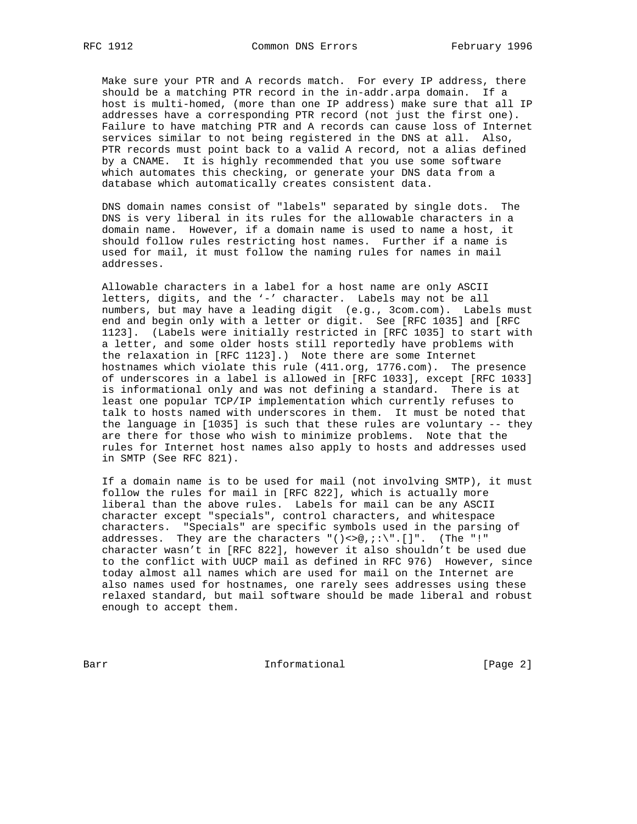Make sure your PTR and A records match. For every IP address, there should be a matching PTR record in the in-addr.arpa domain. If a host is multi-homed, (more than one IP address) make sure that all IP addresses have a corresponding PTR record (not just the first one). Failure to have matching PTR and A records can cause loss of Internet services similar to not being registered in the DNS at all. Also, PTR records must point back to a valid A record, not a alias defined by a CNAME. It is highly recommended that you use some software which automates this checking, or generate your DNS data from a database which automatically creates consistent data.

 DNS domain names consist of "labels" separated by single dots. The DNS is very liberal in its rules for the allowable characters in a domain name. However, if a domain name is used to name a host, it should follow rules restricting host names. Further if a name is used for mail, it must follow the naming rules for names in mail addresses.

 Allowable characters in a label for a host name are only ASCII letters, digits, and the '-' character. Labels may not be all numbers, but may have a leading digit (e.g., 3com.com). Labels must end and begin only with a letter or digit. See [RFC 1035] and [RFC 1123]. (Labels were initially restricted in [RFC 1035] to start with a letter, and some older hosts still reportedly have problems with the relaxation in [RFC 1123].) Note there are some Internet hostnames which violate this rule (411.org, 1776.com). The presence of underscores in a label is allowed in [RFC 1033], except [RFC 1033] is informational only and was not defining a standard. There is at least one popular TCP/IP implementation which currently refuses to talk to hosts named with underscores in them. It must be noted that the language in [1035] is such that these rules are voluntary -- they are there for those who wish to minimize problems. Note that the rules for Internet host names also apply to hosts and addresses used in SMTP (See RFC 821).

 If a domain name is to be used for mail (not involving SMTP), it must follow the rules for mail in [RFC 822], which is actually more liberal than the above rules. Labels for mail can be any ASCII character except "specials", control characters, and whitespace characters. "Specials" are specific symbols used in the parsing of addresses. They are the characters " $($ )<>@,;:\".[]". (The "!" character wasn't in [RFC 822], however it also shouldn't be used due to the conflict with UUCP mail as defined in RFC 976) However, since today almost all names which are used for mail on the Internet are also names used for hostnames, one rarely sees addresses using these relaxed standard, but mail software should be made liberal and robust enough to accept them.

Barr **Informational** Informational [Page 2]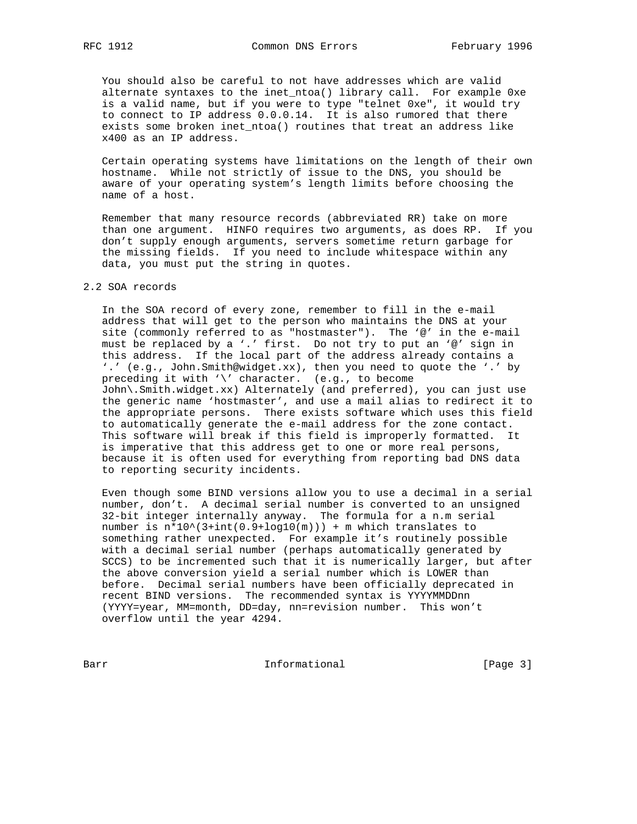You should also be careful to not have addresses which are valid alternate syntaxes to the inet\_ntoa() library call. For example 0xe is a valid name, but if you were to type "telnet 0xe", it would try to connect to IP address 0.0.0.14. It is also rumored that there exists some broken inet\_ntoa() routines that treat an address like x400 as an IP address.

 Certain operating systems have limitations on the length of their own hostname. While not strictly of issue to the DNS, you should be aware of your operating system's length limits before choosing the name of a host.

 Remember that many resource records (abbreviated RR) take on more than one argument. HINFO requires two arguments, as does RP. If you don't supply enough arguments, servers sometime return garbage for the missing fields. If you need to include whitespace within any data, you must put the string in quotes.

## 2.2 SOA records

 In the SOA record of every zone, remember to fill in the e-mail address that will get to the person who maintains the DNS at your site (commonly referred to as "hostmaster"). The  $\mathcal{C}$  in the e-mail must be replaced by a '.' first. Do not try to put an '@' sign in this address. If the local part of the address already contains a '.' (e.g., John.Smith@widget.xx), then you need to quote the '.' by preceding it with '\' character. (e.g., to become John\.Smith.widget.xx) Alternately (and preferred), you can just use the generic name 'hostmaster', and use a mail alias to redirect it to the appropriate persons. There exists software which uses this field to automatically generate the e-mail address for the zone contact. This software will break if this field is improperly formatted. It is imperative that this address get to one or more real persons, because it is often used for everything from reporting bad DNS data to reporting security incidents.

 Even though some BIND versions allow you to use a decimal in a serial number, don't. A decimal serial number is converted to an unsigned 32-bit integer internally anyway. The formula for a n.m serial number is  $n*10^(3+int(0.9+log10(m))) + m$  which translates to something rather unexpected. For example it's routinely possible with a decimal serial number (perhaps automatically generated by SCCS) to be incremented such that it is numerically larger, but after the above conversion yield a serial number which is LOWER than before. Decimal serial numbers have been officially deprecated in recent BIND versions. The recommended syntax is YYYYMMDDnn (YYYY=year, MM=month, DD=day, nn=revision number. This won't overflow until the year 4294.

Barr Informational [Page 3]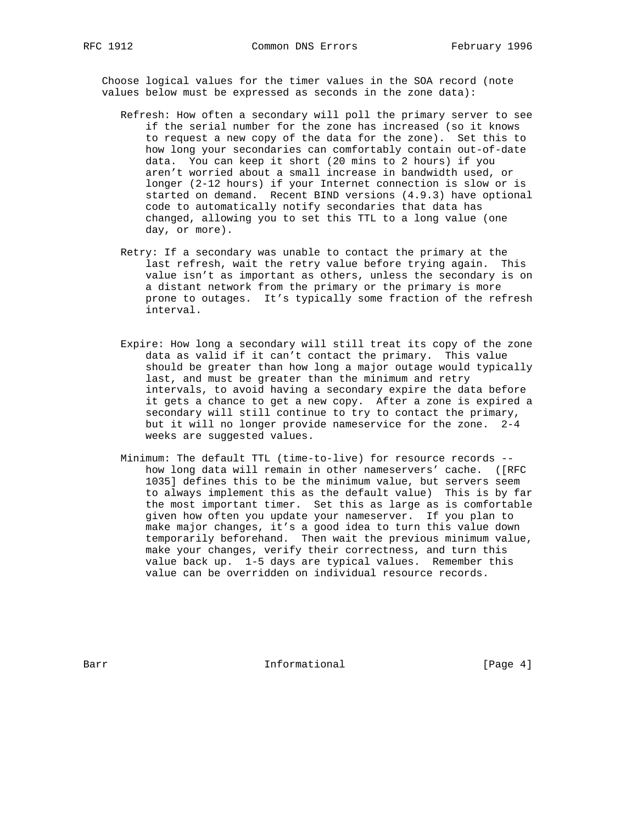Choose logical values for the timer values in the SOA record (note values below must be expressed as seconds in the zone data):

- Refresh: How often a secondary will poll the primary server to see if the serial number for the zone has increased (so it knows to request a new copy of the data for the zone). Set this to how long your secondaries can comfortably contain out-of-date data. You can keep it short (20 mins to 2 hours) if you aren't worried about a small increase in bandwidth used, or longer (2-12 hours) if your Internet connection is slow or is started on demand. Recent BIND versions (4.9.3) have optional code to automatically notify secondaries that data has changed, allowing you to set this TTL to a long value (one day, or more).
- Retry: If a secondary was unable to contact the primary at the last refresh, wait the retry value before trying again. This value isn't as important as others, unless the secondary is on a distant network from the primary or the primary is more prone to outages. It's typically some fraction of the refresh interval.
- Expire: How long a secondary will still treat its copy of the zone data as valid if it can't contact the primary. This value should be greater than how long a major outage would typically last, and must be greater than the minimum and retry intervals, to avoid having a secondary expire the data before it gets a chance to get a new copy. After a zone is expired a secondary will still continue to try to contact the primary, but it will no longer provide nameservice for the zone. 2-4 weeks are suggested values.
- Minimum: The default TTL (time-to-live) for resource records how long data will remain in other nameservers' cache. ([RFC 1035] defines this to be the minimum value, but servers seem to always implement this as the default value) This is by far the most important timer. Set this as large as is comfortable given how often you update your nameserver. If you plan to make major changes, it's a good idea to turn this value down temporarily beforehand. Then wait the previous minimum value, make your changes, verify their correctness, and turn this value back up. 1-5 days are typical values. Remember this value can be overridden on individual resource records.

Barr **Informational** Informational [Page 4]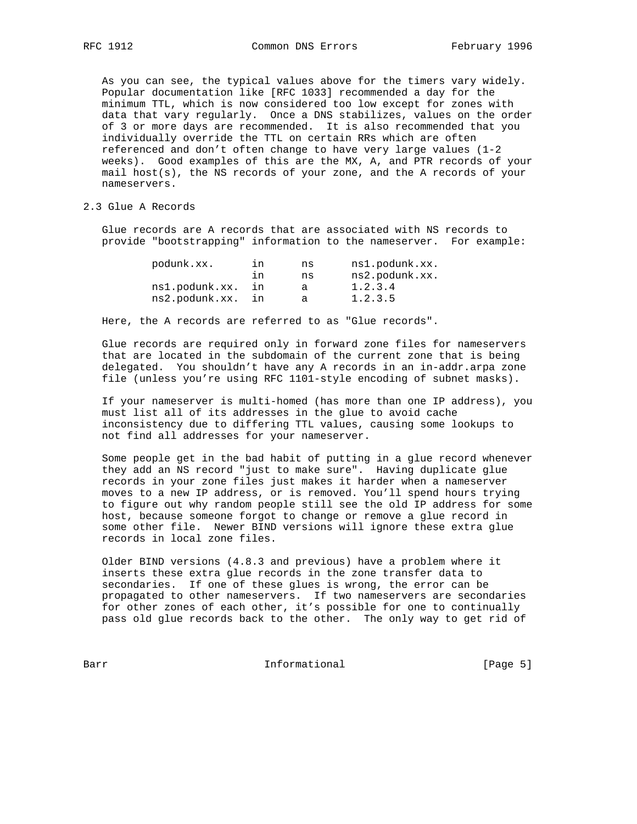As you can see, the typical values above for the timers vary widely. Popular documentation like [RFC 1033] recommended a day for the minimum TTL, which is now considered too low except for zones with data that vary regularly. Once a DNS stabilizes, values on the order of 3 or more days are recommended. It is also recommended that you individually override the TTL on certain RRs which are often referenced and don't often change to have very large values (1-2 weeks). Good examples of this are the MX, A, and PTR records of your mail host(s), the NS records of your zone, and the A records of your nameservers.

## 2.3 Glue A Records

 Glue records are A records that are associated with NS records to provide "bootstrapping" information to the nameserver. For example:

| podunk.xx.     | ın  | ns | ns1.podunk.xx. |
|----------------|-----|----|----------------|
|                | ח ו | ns | ns2.podunk.xx. |
| ns1.podunk.xx. | in  | а  | 1.2.3.4        |
| ns2.podunk.xx. | ın  | а  | 1.2.3.5        |

Here, the A records are referred to as "Glue records".

 Glue records are required only in forward zone files for nameservers that are located in the subdomain of the current zone that is being delegated. You shouldn't have any A records in an in-addr.arpa zone file (unless you're using RFC 1101-style encoding of subnet masks).

 If your nameserver is multi-homed (has more than one IP address), you must list all of its addresses in the glue to avoid cache inconsistency due to differing TTL values, causing some lookups to not find all addresses for your nameserver.

 Some people get in the bad habit of putting in a glue record whenever they add an NS record "just to make sure". Having duplicate glue records in your zone files just makes it harder when a nameserver moves to a new IP address, or is removed. You'll spend hours trying to figure out why random people still see the old IP address for some host, because someone forgot to change or remove a glue record in some other file. Newer BIND versions will ignore these extra glue records in local zone files.

 Older BIND versions (4.8.3 and previous) have a problem where it inserts these extra glue records in the zone transfer data to secondaries. If one of these glues is wrong, the error can be propagated to other nameservers. If two nameservers are secondaries for other zones of each other, it's possible for one to continually pass old glue records back to the other. The only way to get rid of

Barr Informational [Page 5]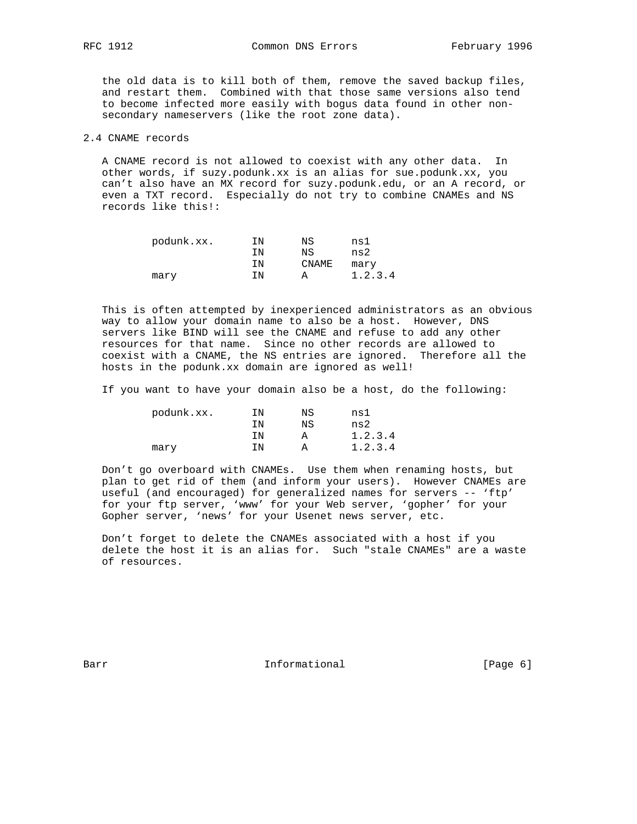the old data is to kill both of them, remove the saved backup files, and restart them. Combined with that those same versions also tend to become infected more easily with bogus data found in other non secondary nameservers (like the root zone data).

#### 2.4 CNAME records

 A CNAME record is not allowed to coexist with any other data. In other words, if suzy.podunk.xx is an alias for sue.podunk.xx, you can't also have an MX record for suzy.podunk.edu, or an A record, or even a TXT record. Especially do not try to combine CNAMEs and NS records like this!:

| podunk.xx. | ΙN | ΝS    | ns1     |
|------------|----|-------|---------|
|            | ΤN | ΝS    | ns2     |
|            | ΙN | CNAME | mary    |
| mary       | ΤN |       | 1.2.3.4 |

 This is often attempted by inexperienced administrators as an obvious way to allow your domain name to also be a host. However, DNS servers like BIND will see the CNAME and refuse to add any other resources for that name. Since no other records are allowed to coexist with a CNAME, the NS entries are ignored. Therefore all the hosts in the podunk.xx domain are ignored as well!

If you want to have your domain also be a host, do the following:

| podunk.xx. | ΙN | ΝS | ns1     |
|------------|----|----|---------|
|            | ΤN | ΝS | ns2     |
|            | ΙN |    | 1.2.3.4 |
| mary       | ΤN |    | 1.2.3.4 |

 Don't go overboard with CNAMEs. Use them when renaming hosts, but plan to get rid of them (and inform your users). However CNAMEs are useful (and encouraged) for generalized names for servers -- 'ftp' for your ftp server, 'www' for your Web server, 'gopher' for your Gopher server, 'news' for your Usenet news server, etc.

 Don't forget to delete the CNAMEs associated with a host if you delete the host it is an alias for. Such "stale CNAMEs" are a waste of resources.

Barr **Informational** Informational [Page 6]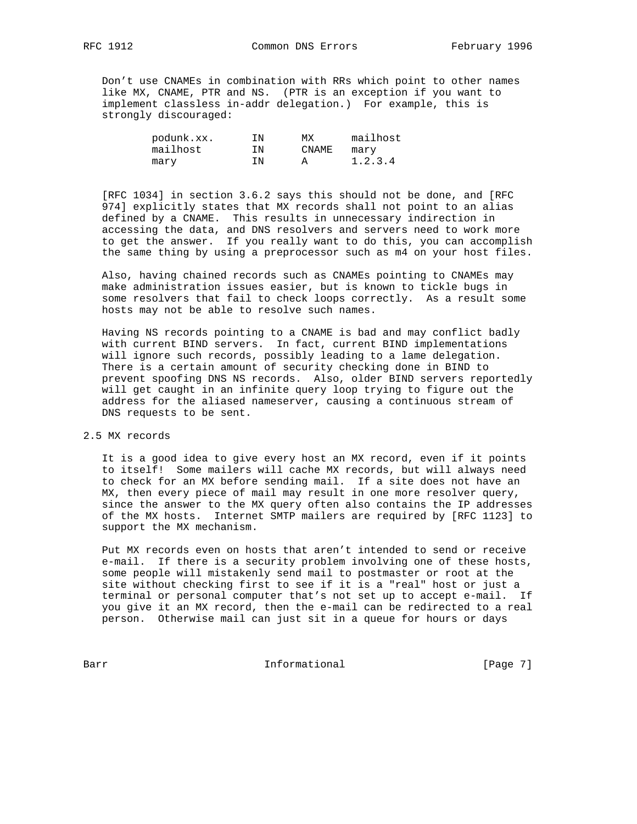Don't use CNAMEs in combination with RRs which point to other names like MX, CNAME, PTR and NS. (PTR is an exception if you want to implement classless in-addr delegation.) For example, this is strongly discouraged:

| podunk.xx. | ΙN | МX    | mailhost |
|------------|----|-------|----------|
| mailhost   | ΙN | CNAME | mary     |
| marv       | ΙN |       | 1.2.3.4  |

 [RFC 1034] in section 3.6.2 says this should not be done, and [RFC 974] explicitly states that MX records shall not point to an alias defined by a CNAME. This results in unnecessary indirection in accessing the data, and DNS resolvers and servers need to work more to get the answer. If you really want to do this, you can accomplish the same thing by using a preprocessor such as m4 on your host files.

 Also, having chained records such as CNAMEs pointing to CNAMEs may make administration issues easier, but is known to tickle bugs in some resolvers that fail to check loops correctly. As a result some hosts may not be able to resolve such names.

 Having NS records pointing to a CNAME is bad and may conflict badly with current BIND servers. In fact, current BIND implementations will ignore such records, possibly leading to a lame delegation. There is a certain amount of security checking done in BIND to prevent spoofing DNS NS records. Also, older BIND servers reportedly will get caught in an infinite query loop trying to figure out the address for the aliased nameserver, causing a continuous stream of DNS requests to be sent.

2.5 MX records

 It is a good idea to give every host an MX record, even if it points to itself! Some mailers will cache MX records, but will always need to check for an MX before sending mail. If a site does not have an MX, then every piece of mail may result in one more resolver query, since the answer to the MX query often also contains the IP addresses of the MX hosts. Internet SMTP mailers are required by [RFC 1123] to support the MX mechanism.

 Put MX records even on hosts that aren't intended to send or receive e-mail. If there is a security problem involving one of these hosts, some people will mistakenly send mail to postmaster or root at the site without checking first to see if it is a "real" host or just a terminal or personal computer that's not set up to accept e-mail. If you give it an MX record, then the e-mail can be redirected to a real person. Otherwise mail can just sit in a queue for hours or days

Barr Informational [Page 7]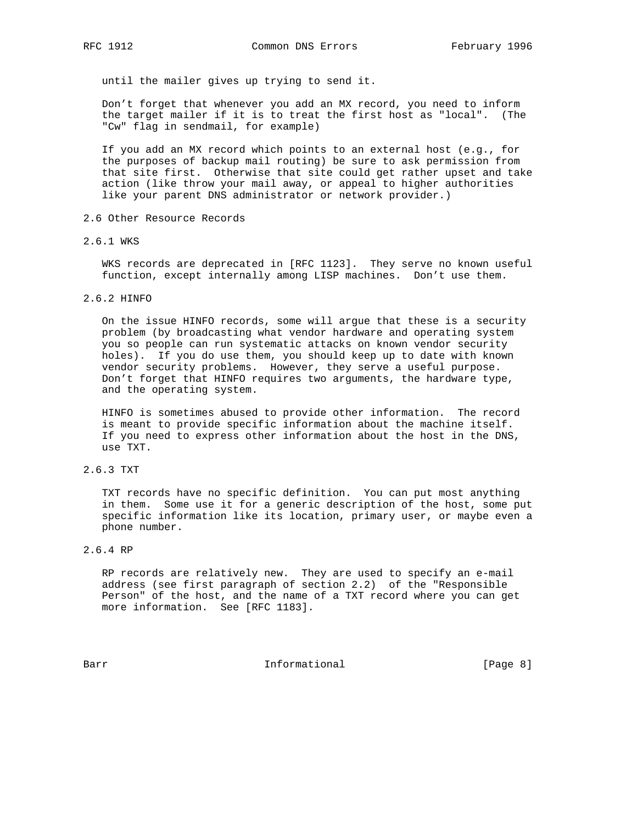until the mailer gives up trying to send it.

 Don't forget that whenever you add an MX record, you need to inform the target mailer if it is to treat the first host as "local". (The "Cw" flag in sendmail, for example)

 If you add an MX record which points to an external host (e.g., for the purposes of backup mail routing) be sure to ask permission from that site first. Otherwise that site could get rather upset and take action (like throw your mail away, or appeal to higher authorities like your parent DNS administrator or network provider.)

- 2.6 Other Resource Records
- 2.6.1 WKS

 WKS records are deprecated in [RFC 1123]. They serve no known useful function, except internally among LISP machines. Don't use them.

2.6.2 HINFO

 On the issue HINFO records, some will argue that these is a security problem (by broadcasting what vendor hardware and operating system you so people can run systematic attacks on known vendor security holes). If you do use them, you should keep up to date with known vendor security problems. However, they serve a useful purpose. Don't forget that HINFO requires two arguments, the hardware type, and the operating system.

 HINFO is sometimes abused to provide other information. The record is meant to provide specific information about the machine itself. If you need to express other information about the host in the DNS, use TXT.

2.6.3 TXT

 TXT records have no specific definition. You can put most anything in them. Some use it for a generic description of the host, some put specific information like its location, primary user, or maybe even a phone number.

2.6.4 RP

 RP records are relatively new. They are used to specify an e-mail address (see first paragraph of section 2.2) of the "Responsible Person" of the host, and the name of a TXT record where you can get more information. See [RFC 1183].

Barr **Informational Informational Example 1** [Page 8]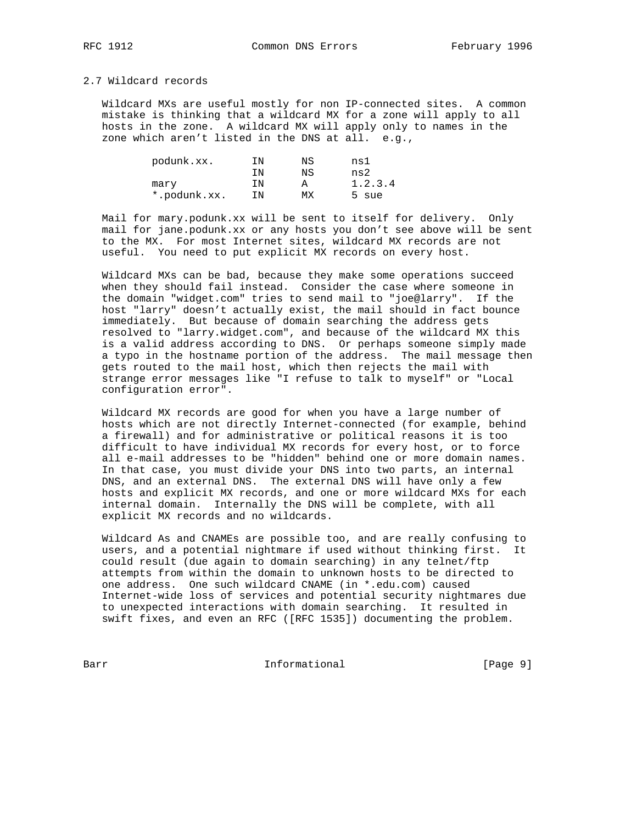RFC 1912 Common DNS Errors February 1996

# 2.7 Wildcard records

 Wildcard MXs are useful mostly for non IP-connected sites. A common mistake is thinking that a wildcard MX for a zone will apply to all hosts in the zone. A wildcard MX will apply only to names in the zone which aren't listed in the DNS at all. e.g.,

| podunk.xx.   | ΙN | ΝS | nsl     |
|--------------|----|----|---------|
|              | ΤN | ΝS | ns2     |
| mary         | ΤN |    | 1.2.3.4 |
| *.podunk.xx. | ΙN | МX | 5 sue   |

 Mail for mary.podunk.xx will be sent to itself for delivery. Only mail for jane.podunk.xx or any hosts you don't see above will be sent to the MX. For most Internet sites, wildcard MX records are not useful. You need to put explicit MX records on every host.

 Wildcard MXs can be bad, because they make some operations succeed when they should fail instead. Consider the case where someone in the domain "widget.com" tries to send mail to "joe@larry". If the host "larry" doesn't actually exist, the mail should in fact bounce immediately. But because of domain searching the address gets resolved to "larry.widget.com", and because of the wildcard MX this is a valid address according to DNS. Or perhaps someone simply made a typo in the hostname portion of the address. The mail message then gets routed to the mail host, which then rejects the mail with strange error messages like "I refuse to talk to myself" or "Local configuration error".

 Wildcard MX records are good for when you have a large number of hosts which are not directly Internet-connected (for example, behind a firewall) and for administrative or political reasons it is too difficult to have individual MX records for every host, or to force all e-mail addresses to be "hidden" behind one or more domain names. In that case, you must divide your DNS into two parts, an internal DNS, and an external DNS. The external DNS will have only a few hosts and explicit MX records, and one or more wildcard MXs for each internal domain. Internally the DNS will be complete, with all explicit MX records and no wildcards.

 Wildcard As and CNAMEs are possible too, and are really confusing to users, and a potential nightmare if used without thinking first. It could result (due again to domain searching) in any telnet/ftp attempts from within the domain to unknown hosts to be directed to one address. One such wildcard CNAME (in \*.edu.com) caused Internet-wide loss of services and potential security nightmares due to unexpected interactions with domain searching. It resulted in swift fixes, and even an RFC ([RFC 1535]) documenting the problem.

Barr Informational [Page 9]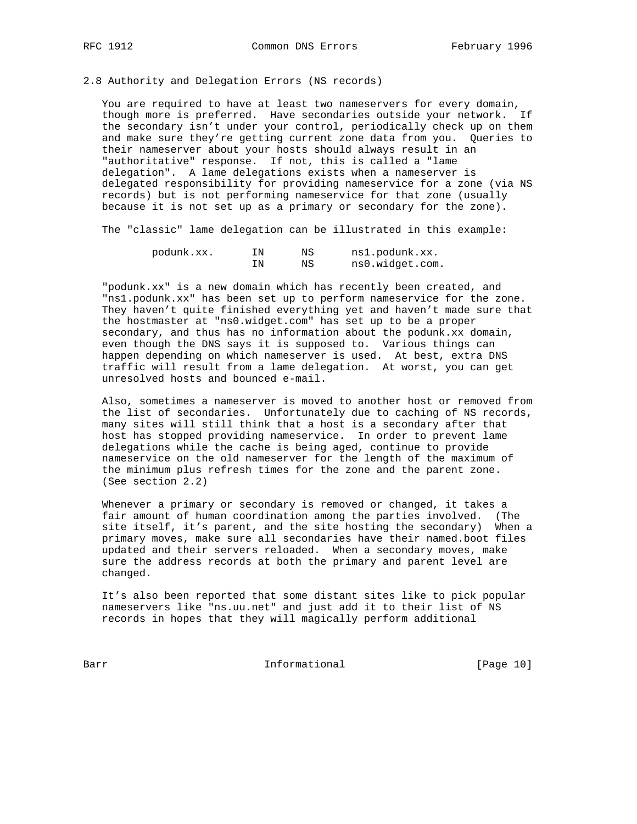2.8 Authority and Delegation Errors (NS records)

 You are required to have at least two nameservers for every domain, though more is preferred. Have secondaries outside your network. If the secondary isn't under your control, periodically check up on them and make sure they're getting current zone data from you. Queries to their nameserver about your hosts should always result in an "authoritative" response. If not, this is called a "lame delegation". A lame delegations exists when a nameserver is delegated responsibility for providing nameservice for a zone (via NS records) but is not performing nameservice for that zone (usually because it is not set up as a primary or secondary for the zone).

The "classic" lame delegation can be illustrated in this example:

| podunk.xx. | IΝ | ΝS | ns1.podunk.xx.  |
|------------|----|----|-----------------|
|            | IΝ | ΝS | ns0.widget.com. |

 "podunk.xx" is a new domain which has recently been created, and "ns1.podunk.xx" has been set up to perform nameservice for the zone. They haven't quite finished everything yet and haven't made sure that the hostmaster at "ns0.widget.com" has set up to be a proper secondary, and thus has no information about the podunk.xx domain, even though the DNS says it is supposed to. Various things can happen depending on which nameserver is used. At best, extra DNS traffic will result from a lame delegation. At worst, you can get unresolved hosts and bounced e-mail.

 Also, sometimes a nameserver is moved to another host or removed from the list of secondaries. Unfortunately due to caching of NS records, many sites will still think that a host is a secondary after that host has stopped providing nameservice. In order to prevent lame delegations while the cache is being aged, continue to provide nameservice on the old nameserver for the length of the maximum of the minimum plus refresh times for the zone and the parent zone. (See section 2.2)

 Whenever a primary or secondary is removed or changed, it takes a fair amount of human coordination among the parties involved. (The site itself, it's parent, and the site hosting the secondary) When a primary moves, make sure all secondaries have their named.boot files updated and their servers reloaded. When a secondary moves, make sure the address records at both the primary and parent level are changed.

 It's also been reported that some distant sites like to pick popular nameservers like "ns.uu.net" and just add it to their list of NS records in hopes that they will magically perform additional

Barr Informational [Page 10]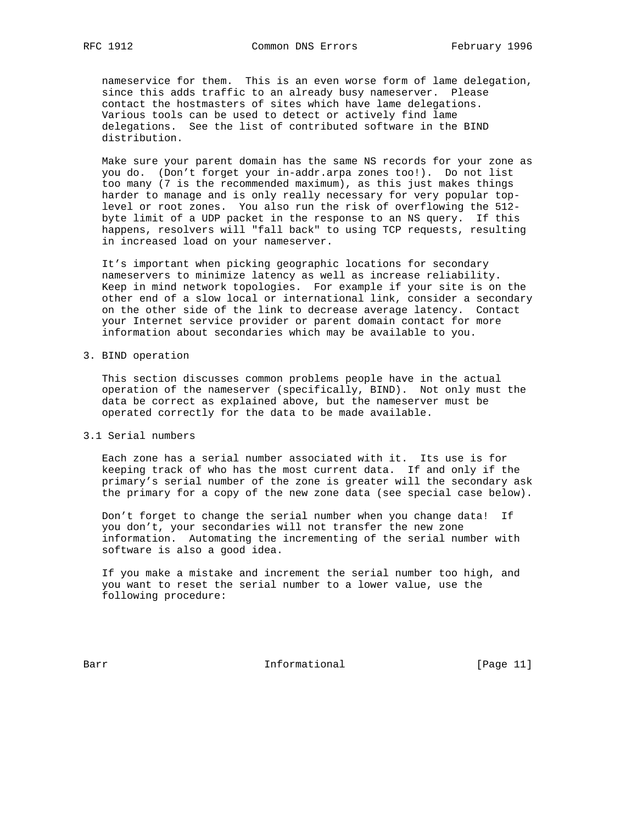nameservice for them. This is an even worse form of lame delegation, since this adds traffic to an already busy nameserver. Please contact the hostmasters of sites which have lame delegations. Various tools can be used to detect or actively find lame delegations. See the list of contributed software in the BIND distribution.

 Make sure your parent domain has the same NS records for your zone as you do. (Don't forget your in-addr.arpa zones too!). Do not list too many (7 is the recommended maximum), as this just makes things harder to manage and is only really necessary for very popular top level or root zones. You also run the risk of overflowing the 512 byte limit of a UDP packet in the response to an NS query. If this happens, resolvers will "fall back" to using TCP requests, resulting in increased load on your nameserver.

 It's important when picking geographic locations for secondary nameservers to minimize latency as well as increase reliability. Keep in mind network topologies. For example if your site is on the other end of a slow local or international link, consider a secondary on the other side of the link to decrease average latency. Contact your Internet service provider or parent domain contact for more information about secondaries which may be available to you.

#### 3. BIND operation

 This section discusses common problems people have in the actual operation of the nameserver (specifically, BIND). Not only must the data be correct as explained above, but the nameserver must be operated correctly for the data to be made available.

3.1 Serial numbers

 Each zone has a serial number associated with it. Its use is for keeping track of who has the most current data. If and only if the primary's serial number of the zone is greater will the secondary ask the primary for a copy of the new zone data (see special case below).

 Don't forget to change the serial number when you change data! If you don't, your secondaries will not transfer the new zone information. Automating the incrementing of the serial number with software is also a good idea.

 If you make a mistake and increment the serial number too high, and you want to reset the serial number to a lower value, use the following procedure:

Barr **Informational Informational** [Page 11]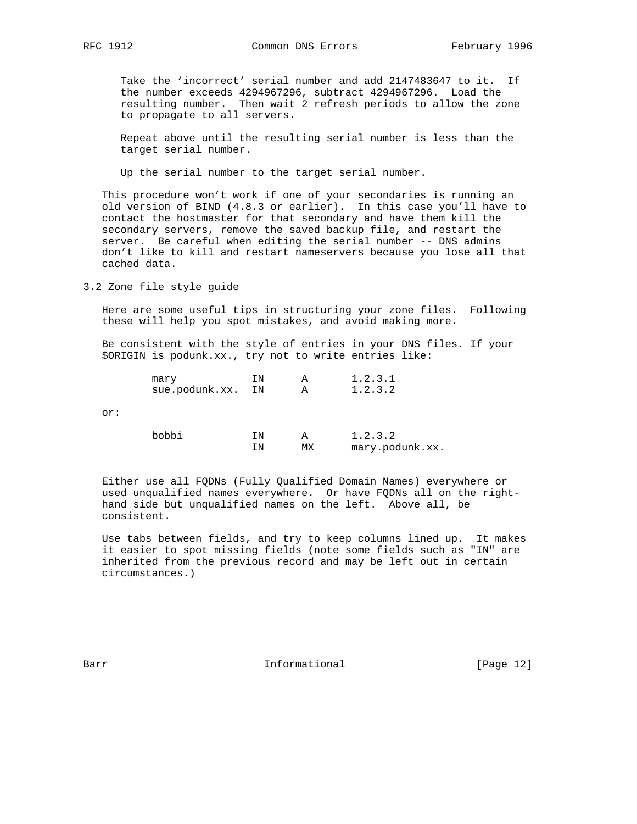Take the 'incorrect' serial number and add 2147483647 to it. If the number exceeds 4294967296, subtract 4294967296. Load the resulting number. Then wait 2 refresh periods to allow the zone to propagate to all servers.

 Repeat above until the resulting serial number is less than the target serial number.

Up the serial number to the target serial number.

 This procedure won't work if one of your secondaries is running an old version of BIND (4.8.3 or earlier). In this case you'll have to contact the hostmaster for that secondary and have them kill the secondary servers, remove the saved backup file, and restart the server. Be careful when editing the serial number -- DNS admins don't like to kill and restart nameservers because you lose all that cached data.

3.2 Zone file style guide

 Here are some useful tips in structuring your zone files. Following these will help you spot mistakes, and avoid making more.

 Be consistent with the style of entries in your DNS files. If your \$ORIGIN is podunk.xx., try not to write entries like:

|     | mary           | ΙN | А  | 1.2.3.1         |
|-----|----------------|----|----|-----------------|
|     | sue.podunk.xx. | ΙN | Α  | 1.2.3.2         |
| or: |                |    |    |                 |
|     | bobbi          | ΙN | А  | 1.2.3.2         |
|     |                | ΤN | МX | mary.podunk.xx. |

 Either use all FQDNs (Fully Qualified Domain Names) everywhere or used unqualified names everywhere. Or have FQDNs all on the right hand side but unqualified names on the left. Above all, be consistent.

 Use tabs between fields, and try to keep columns lined up. It makes it easier to spot missing fields (note some fields such as "IN" are inherited from the previous record and may be left out in certain circumstances.)

Barr **Informational Informational** [Page 12]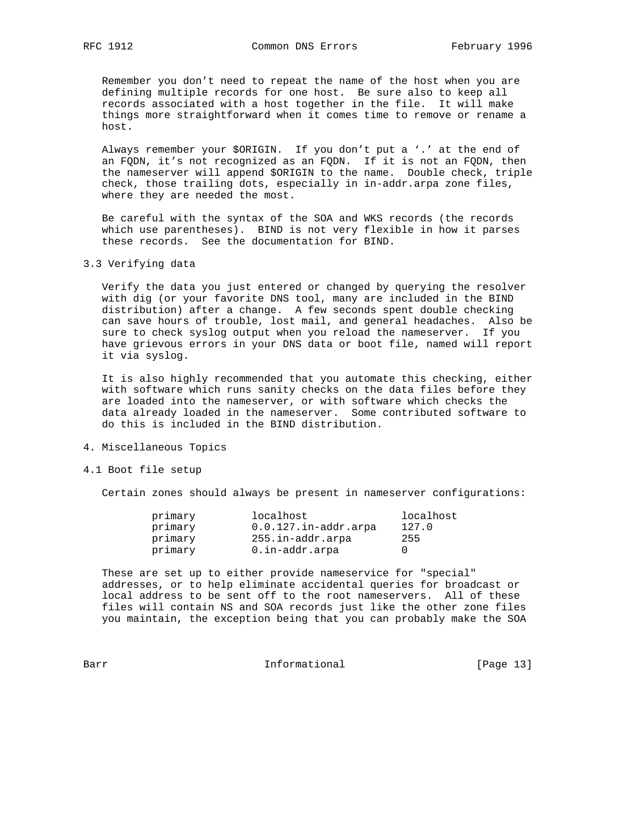Remember you don't need to repeat the name of the host when you are defining multiple records for one host. Be sure also to keep all records associated with a host together in the file. It will make things more straightforward when it comes time to remove or rename a host.

 Always remember your \$ORIGIN. If you don't put a '.' at the end of an FQDN, it's not recognized as an FQDN. If it is not an FQDN, then the nameserver will append \$ORIGIN to the name. Double check, triple check, those trailing dots, especially in in-addr.arpa zone files, where they are needed the most.

 Be careful with the syntax of the SOA and WKS records (the records which use parentheses). BIND is not very flexible in how it parses these records. See the documentation for BIND.

## 3.3 Verifying data

 Verify the data you just entered or changed by querying the resolver with dig (or your favorite DNS tool, many are included in the BIND distribution) after a change. A few seconds spent double checking can save hours of trouble, lost mail, and general headaches. Also be sure to check syslog output when you reload the nameserver. If you have grievous errors in your DNS data or boot file, named will report it via syslog.

 It is also highly recommended that you automate this checking, either with software which runs sanity checks on the data files before they are loaded into the nameserver, or with software which checks the data already loaded in the nameserver. Some contributed software to do this is included in the BIND distribution.

#### 4. Miscellaneous Topics

#### 4.1 Boot file setup

Certain zones should always be present in nameserver configurations:

| primary | localhost               | localhost |
|---------|-------------------------|-----------|
| primary | $0.0.127.in-addr.array$ | 127.0     |
| primary | 255.in-addr.arpa        | 255       |
| primary | 0.in-addr.arpa          |           |

 These are set up to either provide nameservice for "special" addresses, or to help eliminate accidental queries for broadcast or local address to be sent off to the root nameservers. All of these files will contain NS and SOA records just like the other zone files you maintain, the exception being that you can probably make the SOA

Barr Informational [Page 13]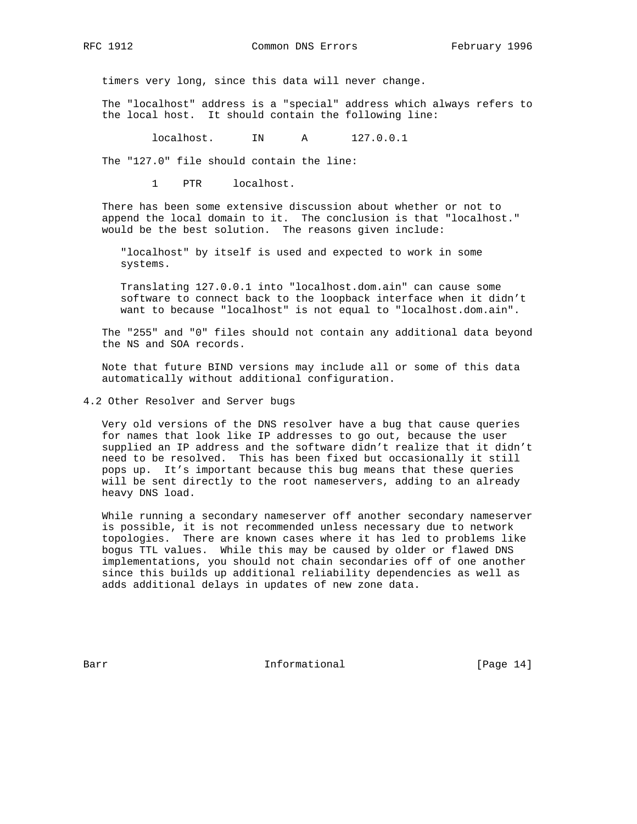RFC 1912 Common DNS Errors February 1996

timers very long, since this data will never change.

 The "localhost" address is a "special" address which always refers to the local host. It should contain the following line:

localhost. IN A 127.0.0.1

The "127.0" file should contain the line:

1 PTR localhost.

 There has been some extensive discussion about whether or not to append the local domain to it. The conclusion is that "localhost." would be the best solution. The reasons given include:

 "localhost" by itself is used and expected to work in some systems.

 Translating 127.0.0.1 into "localhost.dom.ain" can cause some software to connect back to the loopback interface when it didn't want to because "localhost" is not equal to "localhost.dom.ain".

 The "255" and "0" files should not contain any additional data beyond the NS and SOA records.

 Note that future BIND versions may include all or some of this data automatically without additional configuration.

4.2 Other Resolver and Server bugs

 Very old versions of the DNS resolver have a bug that cause queries for names that look like IP addresses to go out, because the user supplied an IP address and the software didn't realize that it didn't need to be resolved. This has been fixed but occasionally it still pops up. It's important because this bug means that these queries will be sent directly to the root nameservers, adding to an already heavy DNS load.

 While running a secondary nameserver off another secondary nameserver is possible, it is not recommended unless necessary due to network topologies. There are known cases where it has led to problems like bogus TTL values. While this may be caused by older or flawed DNS implementations, you should not chain secondaries off of one another since this builds up additional reliability dependencies as well as adds additional delays in updates of new zone data.

Barr **Informational Informational** [Page 14]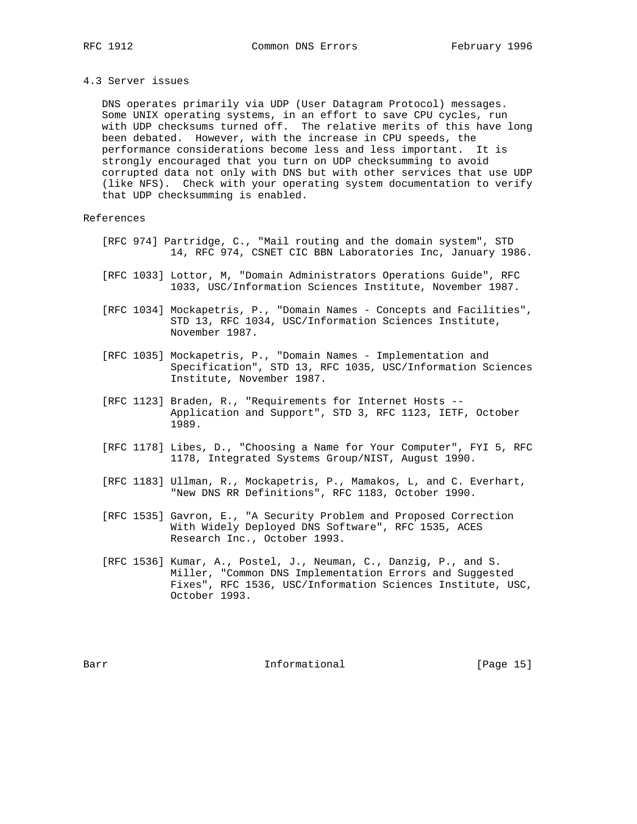#### 4.3 Server issues

 DNS operates primarily via UDP (User Datagram Protocol) messages. Some UNIX operating systems, in an effort to save CPU cycles, run with UDP checksums turned off. The relative merits of this have long been debated. However, with the increase in CPU speeds, the performance considerations become less and less important. It is strongly encouraged that you turn on UDP checksumming to avoid corrupted data not only with DNS but with other services that use UDP (like NFS). Check with your operating system documentation to verify that UDP checksumming is enabled.

#### References

- [RFC 974] Partridge, C., "Mail routing and the domain system", STD 14, RFC 974, CSNET CIC BBN Laboratories Inc, January 1986.
- [RFC 1033] Lottor, M, "Domain Administrators Operations Guide", RFC 1033, USC/Information Sciences Institute, November 1987.
- [RFC 1034] Mockapetris, P., "Domain Names Concepts and Facilities", STD 13, RFC 1034, USC/Information Sciences Institute, November 1987.
- [RFC 1035] Mockapetris, P., "Domain Names Implementation and Specification", STD 13, RFC 1035, USC/Information Sciences Institute, November 1987.
- [RFC 1123] Braden, R., "Requirements for Internet Hosts -- Application and Support", STD 3, RFC 1123, IETF, October 1989.
- [RFC 1178] Libes, D., "Choosing a Name for Your Computer", FYI 5, RFC 1178, Integrated Systems Group/NIST, August 1990.
- [RFC 1183] Ullman, R., Mockapetris, P., Mamakos, L, and C. Everhart, "New DNS RR Definitions", RFC 1183, October 1990.
- [RFC 1535] Gavron, E., "A Security Problem and Proposed Correction With Widely Deployed DNS Software", RFC 1535, ACES Research Inc., October 1993.
- [RFC 1536] Kumar, A., Postel, J., Neuman, C., Danzig, P., and S. Miller, "Common DNS Implementation Errors and Suggested Fixes", RFC 1536, USC/Information Sciences Institute, USC, October 1993.

Barr **Informational Informational** [Page 15]